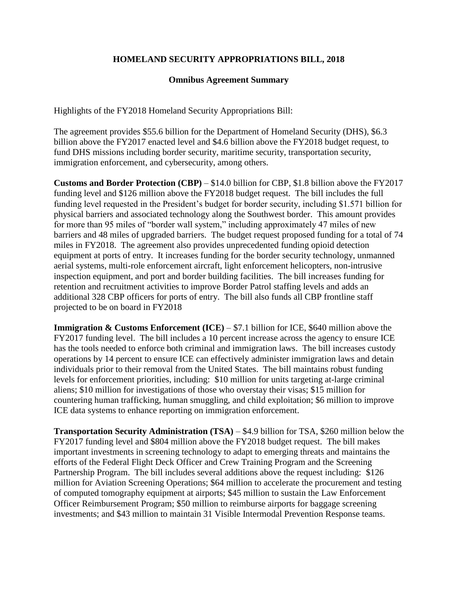## **HOMELAND SECURITY APPROPRIATIONS BILL, 2018**

## **Omnibus Agreement Summary**

Highlights of the FY2018 Homeland Security Appropriations Bill:

The agreement provides \$55.6 billion for the Department of Homeland Security (DHS), \$6.3 billion above the FY2017 enacted level and \$4.6 billion above the FY2018 budget request, to fund DHS missions including border security, maritime security, transportation security, immigration enforcement, and cybersecurity, among others.

**Customs and Border Protection (CBP)** – \$14.0 billion for CBP, \$1.8 billion above the FY2017 funding level and \$126 million above the FY2018 budget request. The bill includes the full funding level requested in the President's budget for border security, including \$1.571 billion for physical barriers and associated technology along the Southwest border. This amount provides for more than 95 miles of "border wall system," including approximately 47 miles of new barriers and 48 miles of upgraded barriers. The budget request proposed funding for a total of 74 miles in FY2018. The agreement also provides unprecedented funding opioid detection equipment at ports of entry. It increases funding for the border security technology, unmanned aerial systems, multi-role enforcement aircraft, light enforcement helicopters, non-intrusive inspection equipment, and port and border building facilities. The bill increases funding for retention and recruitment activities to improve Border Patrol staffing levels and adds an additional 328 CBP officers for ports of entry. The bill also funds all CBP frontline staff projected to be on board in FY2018

**Immigration & Customs Enforcement (ICE)** – \$7.1 billion for ICE, \$640 million above the FY2017 funding level. The bill includes a 10 percent increase across the agency to ensure ICE has the tools needed to enforce both criminal and immigration laws. The bill increases custody operations by 14 percent to ensure ICE can effectively administer immigration laws and detain individuals prior to their removal from the United States. The bill maintains robust funding levels for enforcement priorities, including: \$10 million for units targeting at-large criminal aliens; \$10 million for investigations of those who overstay their visas; \$15 million for countering human trafficking, human smuggling, and child exploitation; \$6 million to improve ICE data systems to enhance reporting on immigration enforcement.

**Transportation Security Administration (TSA)** – \$4.9 billion for TSA, \$260 million below the FY2017 funding level and \$804 million above the FY2018 budget request. The bill makes important investments in screening technology to adapt to emerging threats and maintains the efforts of the Federal Flight Deck Officer and Crew Training Program and the Screening Partnership Program. The bill includes several additions above the request including: \$126 million for Aviation Screening Operations; \$64 million to accelerate the procurement and testing of computed tomography equipment at airports; \$45 million to sustain the Law Enforcement Officer Reimbursement Program; \$50 million to reimburse airports for baggage screening investments; and \$43 million to maintain 31 Visible Intermodal Prevention Response teams.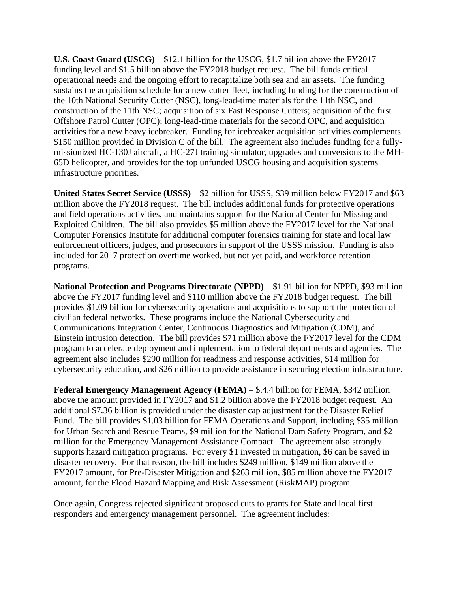**U.S. Coast Guard (USCG)** – \$12.1 billion for the USCG, \$1.7 billion above the FY2017 funding level and \$1.5 billion above the FY2018 budget request. The bill funds critical operational needs and the ongoing effort to recapitalize both sea and air assets. The funding sustains the acquisition schedule for a new cutter fleet, including funding for the construction of the 10th National Security Cutter (NSC), long-lead-time materials for the 11th NSC, and construction of the 11th NSC; acquisition of six Fast Response Cutters; acquisition of the first Offshore Patrol Cutter (OPC); long-lead-time materials for the second OPC, and acquisition activities for a new heavy icebreaker. Funding for icebreaker acquisition activities complements \$150 million provided in Division C of the bill. The agreement also includes funding for a fullymissionized HC-130J aircraft, a HC-27J training simulator, upgrades and conversions to the MH-65D helicopter, and provides for the top unfunded USCG housing and acquisition systems infrastructure priorities.

**United States Secret Service (USSS)** – \$2 billion for USSS, \$39 million below FY2017 and \$63 million above the FY2018 request. The bill includes additional funds for protective operations and field operations activities, and maintains support for the National Center for Missing and Exploited Children. The bill also provides \$5 million above the FY2017 level for the National Computer Forensics Institute for additional computer forensics training for state and local law enforcement officers, judges, and prosecutors in support of the USSS mission. Funding is also included for 2017 protection overtime worked, but not yet paid, and workforce retention programs.

**National Protection and Programs Directorate (NPPD)** – \$1.91 billion for NPPD, \$93 million above the FY2017 funding level and \$110 million above the FY2018 budget request. The bill provides \$1.09 billion for cybersecurity operations and acquisitions to support the protection of civilian federal networks. These programs include the National Cybersecurity and Communications Integration Center, Continuous Diagnostics and Mitigation (CDM), and Einstein intrusion detection. The bill provides \$71 million above the FY2017 level for the CDM program to accelerate deployment and implementation to federal departments and agencies. The agreement also includes \$290 million for readiness and response activities, \$14 million for cybersecurity education, and \$26 million to provide assistance in securing election infrastructure.

**Federal Emergency Management Agency (FEMA)** – \$.4.4 billion for FEMA, \$342 million above the amount provided in FY2017 and \$1.2 billion above the FY2018 budget request. An additional \$7.36 billion is provided under the disaster cap adjustment for the Disaster Relief Fund. The bill provides \$1.03 billion for FEMA Operations and Support, including \$35 million for Urban Search and Rescue Teams, \$9 million for the National Dam Safety Program, and \$2 million for the Emergency Management Assistance Compact. The agreement also strongly supports hazard mitigation programs. For every \$1 invested in mitigation, \$6 can be saved in disaster recovery. For that reason, the bill includes \$249 million, \$149 million above the FY2017 amount, for Pre-Disaster Mitigation and \$263 million, \$85 million above the FY2017 amount, for the Flood Hazard Mapping and Risk Assessment (RiskMAP) program.

Once again, Congress rejected significant proposed cuts to grants for State and local first responders and emergency management personnel. The agreement includes: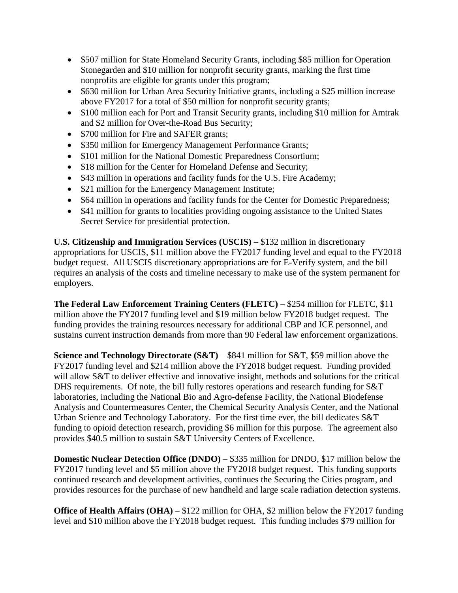- \$507 million for State Homeland Security Grants, including \$85 million for Operation Stonegarden and \$10 million for nonprofit security grants, marking the first time nonprofits are eligible for grants under this program;
- \$630 million for Urban Area Security Initiative grants, including a \$25 million increase above FY2017 for a total of \$50 million for nonprofit security grants;
- \$100 million each for Port and Transit Security grants, including \$10 million for Amtrak and \$2 million for Over-the-Road Bus Security;
- \$700 million for Fire and SAFER grants;
- \$350 million for Emergency Management Performance Grants;
- \$101 million for the National Domestic Preparedness Consortium;
- \$18 million for the Center for Homeland Defense and Security;
- \$43 million in operations and facility funds for the U.S. Fire Academy;
- \$21 million for the Emergency Management Institute;
- \$64 million in operations and facility funds for the Center for Domestic Preparedness;
- \$41 million for grants to localities providing ongoing assistance to the United States Secret Service for presidential protection.

**U.S. Citizenship and Immigration Services (USCIS)** – \$132 million in discretionary appropriations for USCIS, \$11 million above the FY2017 funding level and equal to the FY2018 budget request. All USCIS discretionary appropriations are for E-Verify system, and the bill requires an analysis of the costs and timeline necessary to make use of the system permanent for employers.

**The Federal Law Enforcement Training Centers (FLETC)** – \$254 million for FLETC, \$11 million above the FY2017 funding level and \$19 million below FY2018 budget request. The funding provides the training resources necessary for additional CBP and ICE personnel, and sustains current instruction demands from more than 90 Federal law enforcement organizations.

**Science and Technology Directorate (S&T)** – \$841 million for S&T, \$59 million above the FY2017 funding level and \$214 million above the FY2018 budget request. Funding provided will allow S&T to deliver effective and innovative insight, methods and solutions for the critical DHS requirements. Of note, the bill fully restores operations and research funding for S&T laboratories, including the National Bio and Agro-defense Facility, the National Biodefense Analysis and Countermeasures Center, the Chemical Security Analysis Center, and the National Urban Science and Technology Laboratory. For the first time ever, the bill dedicates S&T funding to opioid detection research, providing \$6 million for this purpose. The agreement also provides \$40.5 million to sustain S&T University Centers of Excellence.

**Domestic Nuclear Detection Office (DNDO)** – \$335 million for DNDO, \$17 million below the FY2017 funding level and \$5 million above the FY2018 budget request. This funding supports continued research and development activities, continues the Securing the Cities program, and provides resources for the purchase of new handheld and large scale radiation detection systems.

**Office of Health Affairs (OHA)** – \$122 million for OHA, \$2 million below the FY2017 funding level and \$10 million above the FY2018 budget request. This funding includes \$79 million for